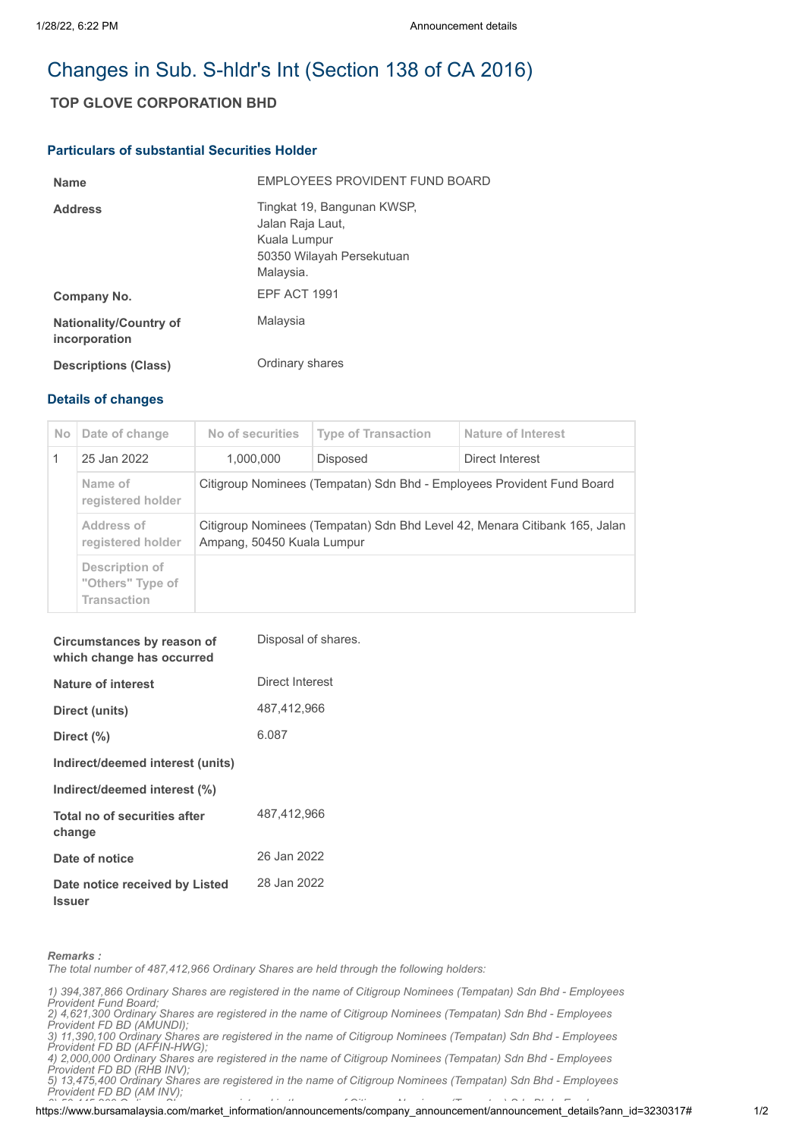# Changes in Sub. S-hldr's Int (Section 138 of CA 2016)

## **TOP GLOVE CORPORATION BHD**

### **Particulars of substantial Securities Holder**

| <b>Name</b>                                    | <b>FMPLOYEES PROVIDENT FUND BOARD</b>                                                                    |
|------------------------------------------------|----------------------------------------------------------------------------------------------------------|
| <b>Address</b>                                 | Tingkat 19, Bangunan KWSP,<br>Jalan Raja Laut,<br>Kuala Lumpur<br>50350 Wilayah Persekutuan<br>Malaysia. |
| Company No.                                    | EPF ACT 1991                                                                                             |
| <b>Nationality/Country of</b><br>incorporation | Malaysia                                                                                                 |
| <b>Descriptions (Class)</b>                    | Ordinary shares                                                                                          |

### **Details of changes**

| <b>No</b> | Date of change                                           | No of securities                                                                                         | <b>Type of Transaction</b> | Nature of Interest |  |
|-----------|----------------------------------------------------------|----------------------------------------------------------------------------------------------------------|----------------------------|--------------------|--|
|           | 25 Jan 2022                                              | 1,000,000                                                                                                | <b>Disposed</b>            | Direct Interest    |  |
|           | Name of<br>registered holder                             | Citigroup Nominees (Tempatan) Sdn Bhd - Employees Provident Fund Board                                   |                            |                    |  |
|           | Address of<br>registered holder                          | Citigroup Nominees (Tempatan) Sdn Bhd Level 42, Menara Citibank 165, Jalan<br>Ampang, 50450 Kuala Lumpur |                            |                    |  |
|           | Description of<br>"Others" Type of<br><b>Transaction</b> |                                                                                                          |                            |                    |  |

| Circumstances by reason of<br>which change has occurred | Disposal of shares. |
|---------------------------------------------------------|---------------------|
| <b>Nature of interest</b>                               | Direct Interest     |
| Direct (units)                                          | 487,412,966         |
| Direct (%)                                              | 6.087               |
| Indirect/deemed interest (units)                        |                     |
| Indirect/deemed interest (%)                            |                     |
| Total no of securities after<br>change                  | 487,412,966         |
| Date of notice                                          | 26 Jan 2022         |
| Date notice received by Listed<br><b>Issuer</b>         | 28 Jan 2022         |

*Remarks :*

*The total number of 487,412,966 Ordinary Shares are held through the following holders:*

- *1) 394,387,866 Ordinary Shares are registered in the name of Citigroup Nominees (Tempatan) Sdn Bhd Employees Provident Fund Board;*
- *2) 4,621,300 Ordinary Shares are registered in the name of Citigroup Nominees (Tempatan) Sdn Bhd Employees*
- *Provident FD BD (AMUNDI); 3) 11,390,100 Ordinary Shares are registered in the name of Citigroup Nominees (Tempatan) Sdn Bhd - Employees*

*Provident FD BD (AFFIN-HWG); 4) 2,000,000 Ordinary Shares are registered in the name of Citigroup Nominees (Tempatan) Sdn Bhd - Employees*

*Provident FD BD (RHB INV);*

*5) 13,475,400 Ordinary Shares are registered in the name of Citigroup Nominees (Tempatan) Sdn Bhd - Employees Provident FD BD (AM INV);*